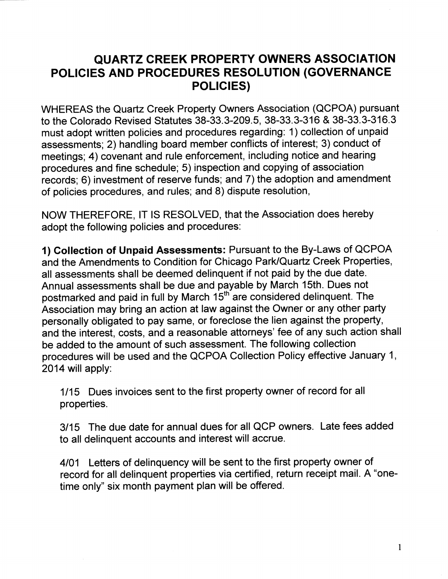## QUARTZ GREEK PROPERTY OWNERS ASSOCIATION POLICIES AND PROCEDURES RESOLUTION (GOVERNANCE **POLICIES)**

WHEREAS the Quartz Creek Property Owners Association (QCPOA) pursuant to the Colorado Revised Statutes 38-33.3-209.5, 38-33.3-316 & 38-33.3-316.3 must adopt written policies and procedures regarding: 1) collection of unpaid assessments; 2) handling board member conflicts of interest; 3) conduct of meetings; 4) covenant and rule enforcement, including notice and hearing procedures and fine schedule; 5) inspection and copying of association records; 6) investment of reserve funds; and 7) the adoption and amendment of policies procedures, and rules; and 8) dispute resolution,

NOW THEREFORE, lT lS RESOLVED, that the Association does hereby adopt the following policies and procedures:

{) Collection of Unpaid Assessments: Pursuant to the By-Laws of QCPOA and the Amendments to Condition for Chicago Park/Quartz Creek Properties, all assessments shall be deemed delinquent if not paid by the due date. Annual assessments shall be due and payable by March 1sth. Dues not postmarked and paid in full by March 15<sup>th</sup> are considered delinquent. The Association may bring an action at law against the Owner or any other party personally obligated to pay same, or foreclose the lien against the property, and the interest, costs, and a reasonable attorneys' fee of any such action shall be added to the amount of such assessment. The following collection procedures will be used and the QCPOA Collection Policy effective January 1, 2014 will apply:

1115 Dues invoices sent to the first property owner of record for all properties.

3115 The due date for annual dues for all QCP owners. Late fees added to all delinquent accounts and interest will accrue.

4101 Letters of delinquency will be sent to the first property owner of record for all delinquent properties via certified, return receipt mail. A "onetime only" six month payment plan will be offered.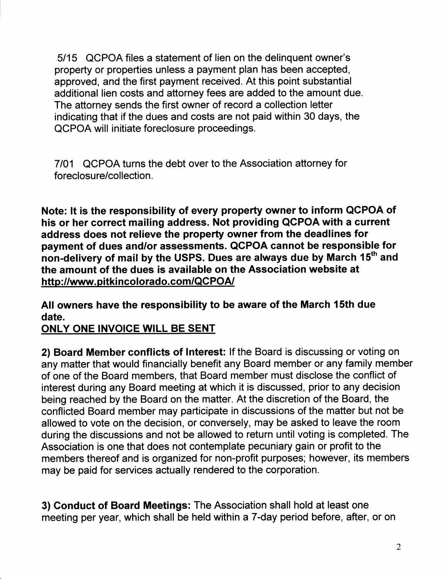5115 QCPOA files a statement of lien on the delinquent owner's property or properties unless a payment plan has been accepted, approved, and the first payment received. At this point substantial additional lien costs and attorney fees are added to the amount due. The attorney sends the first owner of record a collection letter indicating that if the dues and costs are not paid within 30 days, the QCPOA will initiate foreclosure proceedings.

7101 QCPOA turns the debt over to the Association attorney for foreclosure/collection.

Note: lt is the responsibility of every property owner to inform QCPOA of his or her correct mailing address. Not providing QCPOA with a current address does not relieve the property owner from the deadlines for payment of dues and/or assessments. QCPOA cannot be responsible for non-delivery of mail by the USPS. Dues are always due by March 15<sup>th</sup> and the amount of the dues is available on the Association website at http://www.pitkincolorado.com/QCPOA/

All owners have the responsibility to be aware of the March 15th due date.

ONLY ONE INVOICE WILL BE SENT

2) Board Member conflicts of lnterest: lf the Board is discussing or voting on any matter that would financially benefit any Board member or any family member of one of the Board members, that Board member must disclose the conflict of interest during any Board meeting at which it is discussed, prior to any decision being reached by the Board on the matter. At the discretion of the Board, the conflicted Board member may participate in discussions of the matter but not be allowed to vote on the decision, or conversely, may be asked to leave the room during the discussions and not be allowed to return until voting is completed. The Association is one that does not contemplate pecuniary gain or profit to the members thereof and is organized for non-profit purposes; however, its members may be paid for services actually rendered to the corporation.

3) Conduct of Board Meetings: The Association shall hold at least one meeting per year, which shall be held within a7-day period before, after, or on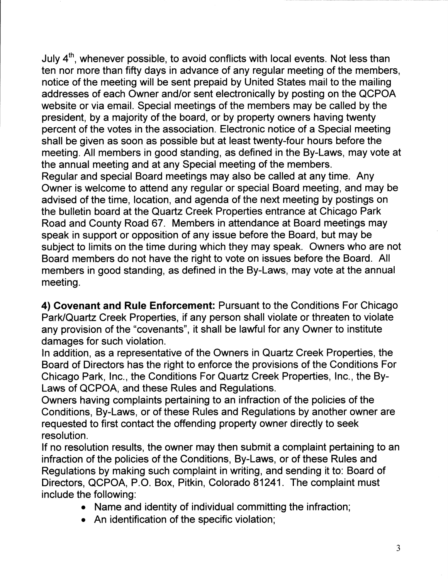July  $4<sup>th</sup>$ , whenever possible, to avoid conflicts with local events. Not less than ten nor more than fifty days in advance of any regular meeting of the members, notice of the meeting will be sent prepaid by United States mail to the mailing addresses of each Owner and/or sent electronically by posting on the QCPOA website or via email. Special meetings of the members may be called by the president, by a majority of the board, or by property owners having twenty percent of the votes in the association. Electronic notice of a Special meeting shall be given as soon as possible but at least twenty-four hours before the meeting. All members in good standing, as defined in the By-Laws, may vote at the annual meeting and at any Special meeting of the members. Regular and special Board meetings may also be called at any time. Any Owner is welcome to attend any regular or special Board meeting, and may be advised of the time, location, and agenda of the next meeting by postings on the bulletin board at the Quartz Creek Properties entrance at Chicago Park Road and County Road 67. Members in attendance at Board meetings may speak in support or opposition of any issue before the Board, but may be subject to limits on the time during which they may speak. Owners who are not Board members do not have the right to vote on issues before the Board. All members in good standing, as defined in the By-Laws, may vote at the annual meeting.

4) Covenant and Rule Enforcement: Pursuant to the Conditions For Chicago Park/Quartz Creek Properties, if any person shall violate or threaten to violate any provision of the "covenants", it shall be lawful for any Owner to institute damages for such violation.

ln addition, as a representative of the Owners in Quartz Creek Properties, the Board of Directors has the right to enforce the provisions of the Conditions For Chicago Park, lnc., the Conditions For Quartz Creek Properties, lnc., the By-Laws of QCPOA, and these Rules and Regulations.

Owners having complaints pertaining to an infraction of the policies of the Conditions, By-Laws, or of these Rules and Regulations by another owner are requested to first contact the offending property owner directly to seek resolution.

lf no resolution results, the owner may then submit a complaint pertaining to an infraction of the policies of the Conditions, By-Laws, or of these Rules and Regulations by making such complaint in writing, and sending it to: Board of Directors, QCPOA, P.O. Box, Pitkin, Colorado 81241. The complaint must include the following:

- Name and identity of individual committing the infraction;
- An identification of the specific violation;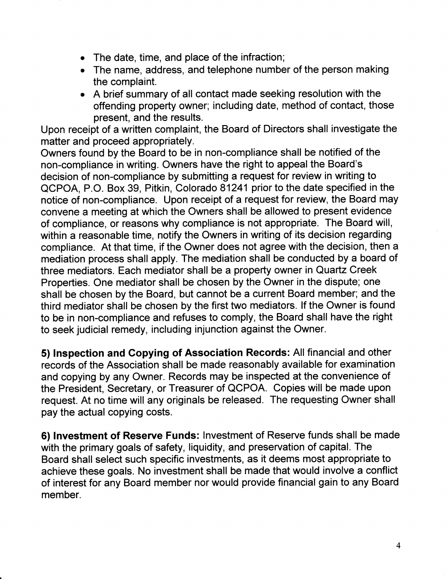- . The date, time, and place of the infraction;
- . The name, address, and telephone number of the person making the complaint.
- . <sup>A</sup>brief summary of all contact made seeking resolution with the offending property owner; including date, method of contact, those present, and the results.

Upon receipt of a written complaint, the Board of Directors shall investigate the matter and proceed appropriately.

Owners found by the Board to be in non-compliance shall be notified of the non-compliance in writing. Owners have the right to appeal the Board's decision of non-compliance by submitting a request for review in writing to QCPOA, P.O. Box 39, Pitkin, Colorado 81241 prior to the date specified in the notice of non-compliance. Upon receipt of a request for review, the Board may convene a meeting at which the Owners shall be allowed to present evidence of compliance, or reasons why compliance is not appropriate. The Board will, within a reasonable time, notify the Owners in writing of its decision regarding compliance. At that time, if the Owner does not agree with the decision, then a mediation process shall apply. The mediation shall be conducted by a board of three mediators. Each mediator shall be a property owner in Quartz Creek Properties. One mediator shall be chosen by the Owner in the dispute; one shall be chosen by the Board, but cannot be a current Board member; and the third mediator shall be chosen by the first two mediators. lf the Owner is found to be in non-compliance and refuses to comply, the Board shall have the right to seek judicial remedy, including injunction against the Owner.

5) lnspection and Copying of Association Records: All financial and other records of the Association shall be made reasonably available for examination and copying by any Owner. Records may be inspected at the convenience of the President, Secretary, or Treasurer of QCPOA. Copies will be made upon request. At no time will any originals be released. The requesting Owner shall pay the actual copying costs.

6) lnvestment of Reserye Funds: lnvestment of Reserve funds shall be made with the primary goals of safety, liquidity, and preservation of capital. The Board shall select such specific investments, as it deems most appropriate to achieve these goals. No investment shall be made that would involve a conflict of interest for any Board member nor would provide financial gain to any Board member.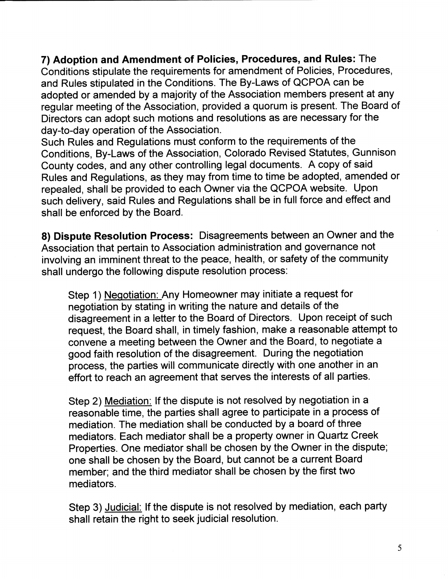7) Adoption and Amendment of Policies, Procedures, and Rules: The Conditions stipulate the requirements for amendment of Policies, Procedures, and Rules stipulated in the Conditions. The By-Laws of QCPOA can be adopted or amended by a majority of the Association members present at any regular meeting of the Association, provided a quorum is present. The Board of Directors can adopt such motions and resolutions as are necessary for the day-to-day operation of the Association.

Such Rules and Regulations must conform to the requirements of the Conditions, By-Laws of the Association, Colorado Revised Statutes, Gunnison County codes, and any other controlling legal documents. A copy of said Rules and Regulations, as they may from time to time be adopted, amended or repealed, shall be provided to each Owner via the QCPOA website. Upon such delivery, said Rules and Regulations shall be in full force and effect and shall be enforced by the Board.

8) Dispute Resolution Process: Disagreements between an Owner and the Association that pertain to Association administration and governance not involving an imminent threat to the peace, health, or safety of the community shall undergo the following dispute resolution process:

Step 1) Neqotiation: Any Homeowner may initiate a request for negotiation by stating in writing the nature and details of the disagreement in a letter to the Board of Directors. Upon receipt of such request, the Board shall, in timely fashion, make a reasonable attempt to convene a meeting between the Owner and the Board, to negotiate a good faith resolution of the disagreement. During the negotiation process, the parties will communicate directly with one another in an effort to reach an agreement that serves the interests of all parties.

Step 2) Mediation: If the dispute is not resolved by negotiation in a reasonable time, the parties shall agree to participate in a process of mediation. The mediation shall be conducted by a board of three mediators. Each mediator shall be a property owner in Quartz Creek Properties. One mediator shall be chosen by the Owner in the dispute; one shall be chosen by the Board, but cannot be a current Board member; and the third mediator shall be chosen by the first two mediators.

Step 3) Judicial: If the dispute is not resolved by mediation, each party shall retain the right to seek judicial resolution.